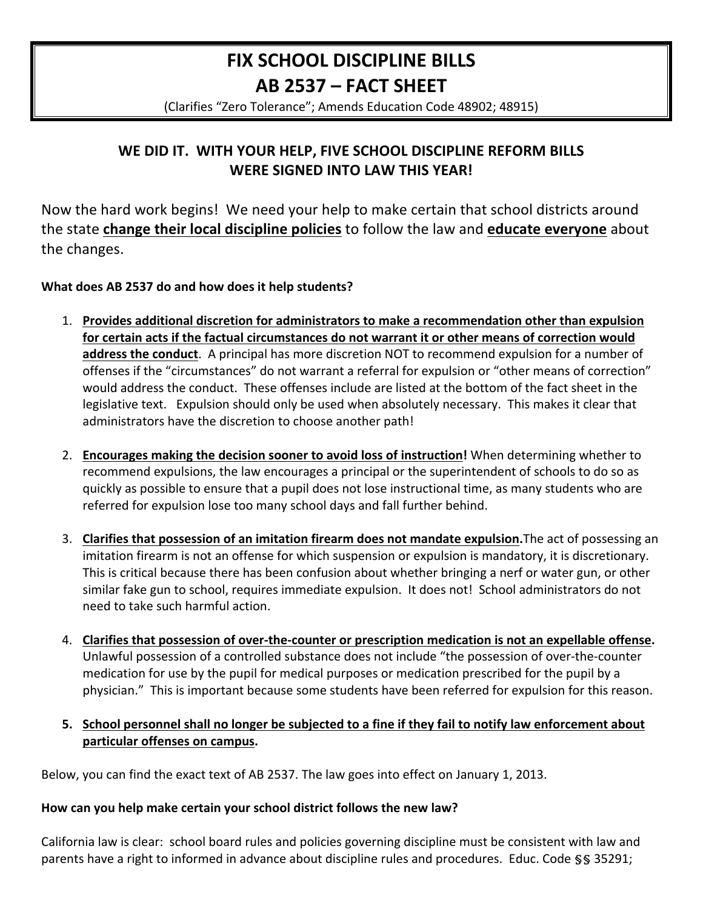# **FIX SCHOOL DISCIPLINE BILLS** AB 2537 - FACT SHEET

(Clarifies "Zero Tolerance"; Amends Education Code 48902; 48915)

## WE DID IT. WITH YOUR HELP, FIVE SCHOOL DISCIPLINE REFORM BILLS **WERE SIGNED INTO LAW THIS YEAR!**

Now the hard work begins! We need your help to make certain that school districts around the state change their local discipline policies to follow the law and educate everyone about the changes.

#### What does AB 2537 do and how does it help students?

- 1. Provides additional discretion for administrators to make a recommendation other than expulsion for certain acts if the factual circumstances do not warrant it or other means of correction would address the conduct. A principal has more discretion NOT to recommend expulsion for a number of offenses if the "circumstances" do not warrant a referral for expulsion or "other means of correction" would address the conduct. These offenses include are listed at the bottom of the fact sheet in the legislative text. Expulsion should only be used when absolutely necessary. This makes it clear that administrators have the discretion to choose another path!
- 2. Encourages making the decision sooner to avoid loss of instruction! When determining whether to recommend expulsions, the law encourages a principal or the superintendent of schools to do so as quickly as possible to ensure that a pupil does not lose instructional time, as many students who are referred for expulsion lose too many school days and fall further behind.
- 3. Clarifies that possession of an imitation firearm does not mandate expulsion. The act of possessing an imitation firearm is not an offense for which suspension or expulsion is mandatory, it is discretionary. This is critical because there has been confusion about whether bringing a nerf or water gun, or other similar fake gun to school, requires immediate expulsion. It does not! School administrators do not need to take such harmful action.
- 4. Clarifies that possession of over-the-counter or prescription medication is not an expellable offense. Unlawful possession of a controlled substance does not include "the possession of over-the-counter medication for use by the pupil for medical purposes or medication prescribed for the pupil by a physician." This is important because some students have been referred for expulsion for this reason.

#### 5. School personnel shall no longer be subjected to a fine if they fail to notify law enforcement about particular offenses on campus.

Below, you can find the exact text of AB 2537. The law goes into effect on January 1, 2013.

#### How can you help make certain your school district follows the new law?

California law is clear: school board rules and policies governing discipline must be consistent with law and parents have a right to informed in advance about discipline rules and procedures. Educ. Code §§ 35291;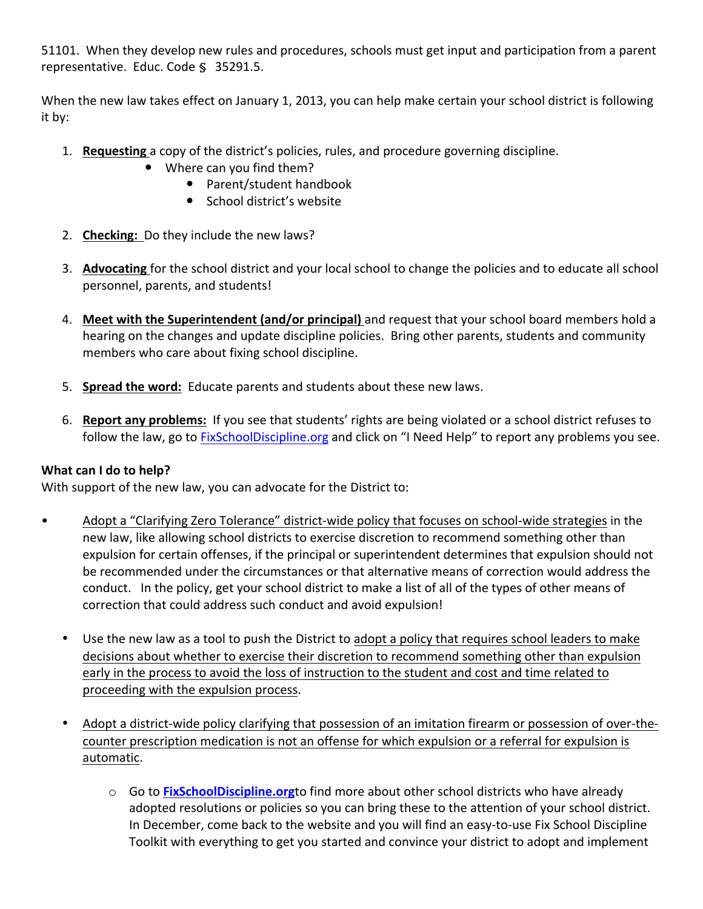51101. When they develop new rules and procedures, schools must get input and participation from a parent representative. Educ. Code § 35291.5.

When the new law takes effect on January 1, 2013, you can help make certain your school district is following it by:

- 1. **Requesting** a copy of the district's policies, rules, and procedure governing discipline.
	- Where can you find them?
		- Parent/student handbook
		- School district's website
- 2. **Checking:** Do they include the new laws?
- 3. Advocating for the school district and your local school to change the policies and to educate all school personnel, parents, and students!
- 4. Meet with the Superintendent (and/or principal) and request that your school board members hold a hearing on the changes and update discipline policies. Bring other parents, students and community members who care about fixing school discipline.
- 5. **Spread the word:** Educate parents and students about these new laws.
- 6. **Report any problems:** If you see that students' rights are being violated or a school district refuses to follow the law, go to FixSchoolDiscipline.org and click on "I Need Help" to report any problems you see.

### **What can I do to help?**

With support of the new law, you can advocate for the District to:

- Adopt a "Clarifying Zero Tolerance" district-wide policy that focuses on school-wide strategies in the new law, like allowing school districts to exercise discretion to recommend something other than expulsion for certain offenses, if the principal or superintendent determines that expulsion should not be recommended under the circumstances or that alternative means of correction would address the conduct. In the policy, get your school district to make a list of all of the types of other means of correction that could address such conduct and avoid expulsion!
	- Use the new law as a tool to push the District to adopt a policy that requires school leaders to make decisions about whether to exercise their discretion to recommend something other than expulsion early in the process to avoid the loss of instruction to the student and cost and time related to proceeding with the expulsion process.
	- Adopt a district-wide policy clarifying that possession of an imitation firearm or possession of over-thecounter prescription medication is not an offense for which expulsion or a referral for expulsion is automatic.
		- o Go to **FixSchoolDiscipline.org**to find more about other school districts who have already adopted resolutions or policies so you can bring these to the attention of your school district. In December, come back to the website and you will find an easy-to-use Fix School Discipline Toolkit with everything to get you started and convince your district to adopt and implement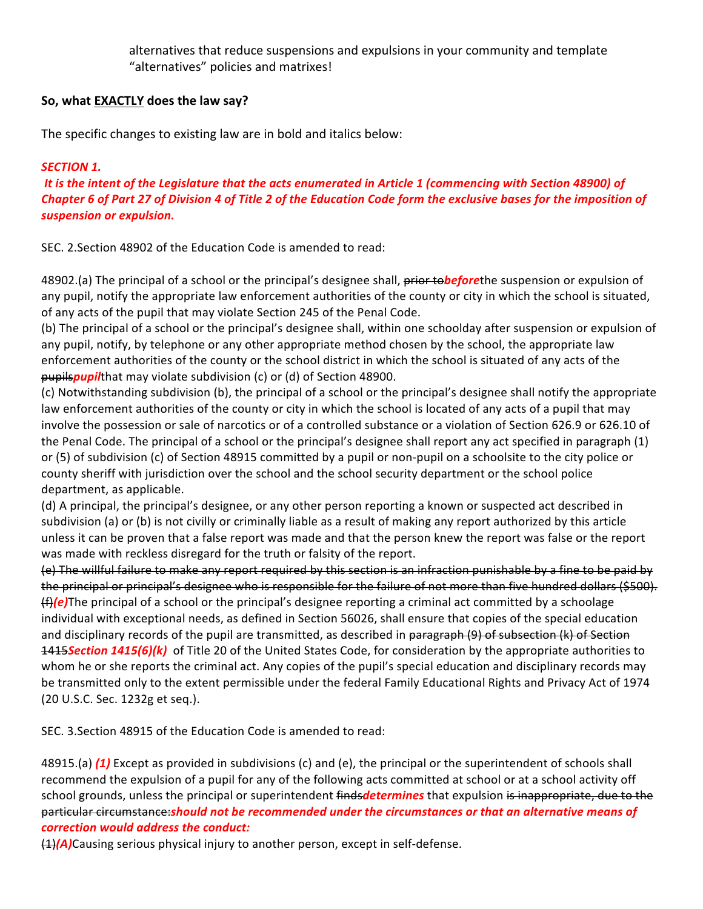alternatives that reduce suspensions and expulsions in your community and template "alternatives" policies and matrixes!

#### **So, what EXACTLY does the law say?**

The specific changes to existing law are in bold and italics below:

#### **SECTION 1.**

*It is the intent of the Legislature that the acts enumerated in Article 1 (commencing with Section 48900) of Chapter 6 of Part 27 of Division 4 of Title 2 of the Education Code form the exclusive bases for the imposition of suspension or expulsion.* 

SEC. 2. Section 48902 of the Education Code is amended to read:

48902.(a) The principal of a school or the principal's designee shall, prior tobeforethe suspension or expulsion of any pupil, notify the appropriate law enforcement authorities of the county or city in which the school is situated, of any acts of the pupil that may violate Section 245 of the Penal Code.

(b) The principal of a school or the principal's designee shall, within one schoolday after suspension or expulsion of any pupil, notify, by telephone or any other appropriate method chosen by the school, the appropriate law enforcement authorities of the county or the school district in which the school is situated of any acts of the pupils*pupil*that may violate subdivision (c) or (d) of Section 48900.

(c) Notwithstanding subdivision (b), the principal of a school or the principal's designee shall notify the appropriate law enforcement authorities of the county or city in which the school is located of any acts of a pupil that may involve the possession or sale of narcotics or of a controlled substance or a violation of Section 626.9 or 626.10 of the Penal Code. The principal of a school or the principal's designee shall report any act specified in paragraph  $(1)$ or (5) of subdivision (c) of Section 48915 committed by a pupil or non-pupil on a schoolsite to the city police or county sheriff with jurisdiction over the school and the school security department or the school police department, as applicable.

(d) A principal, the principal's designee, or any other person reporting a known or suspected act described in subdivision (a) or (b) is not civilly or criminally liable as a result of making any report authorized by this article unless it can be proven that a false report was made and that the person knew the report was false or the report was made with reckless disregard for the truth or falsity of the report.

(e) The willful failure to make any report required by this section is an infraction punishable by a fine to be paid by the principal or principal's designee who is responsible for the failure of not more than five hundred dollars (\$500). (f)<sup>(e)</sup>The principal of a school or the principal's designee reporting a criminal act committed by a schoolage individual with exceptional needs, as defined in Section 56026, shall ensure that copies of the special education and disciplinary records of the pupil are transmitted, as described in paragraph (9) of subsection (k) of Section 1415**Section 1415(6)(k)** of Title 20 of the United States Code, for consideration by the appropriate authorities to whom he or she reports the criminal act. Any copies of the pupil's special education and disciplinary records may be transmitted only to the extent permissible under the federal Family Educational Rights and Privacy Act of 1974 (20 U.S.C. Sec. 1232g et seq.).

SEC. 3. Section 48915 of the Education Code is amended to read:

48915.(a) **(1)** Except as provided in subdivisions (c) and (e), the principal or the superintendent of schools shall recommend the expulsion of a pupil for any of the following acts committed at school or at a school activity off school grounds, unless the principal or superintendent findsdetermines that expulsion is inappropriate, due to the particular circumstance:should not be recommended under the circumstances or that an alternative means of *correction would address the conduct:* 

(1)<sup>(A)</sup>Causing serious physical injury to another person, except in self-defense.